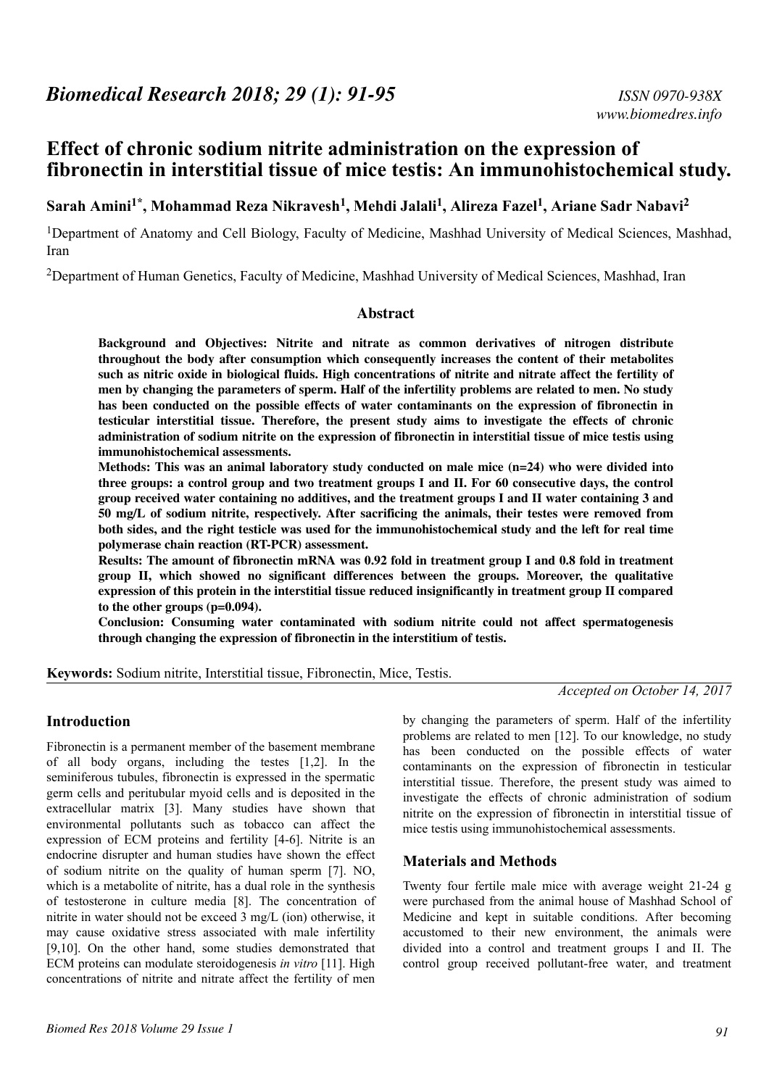# **Effect of chronic sodium nitrite administration on the expression of fibronectin in interstitial tissue of mice testis: An immunohistochemical study.**

# **Sarah Amini1\*, Mohammad Reza Nikravesh<sup>1</sup> , Mehdi Jalali<sup>1</sup> , Alireza Fazel<sup>1</sup> , Ariane Sadr Nabavi<sup>2</sup>**

<sup>1</sup>Department of Anatomy and Cell Biology, Faculty of Medicine, Mashhad University of Medical Sciences, Mashhad, Iran

<sup>2</sup>Department of Human Genetics, Faculty of Medicine, Mashhad University of Medical Sciences, Mashhad, Iran

#### **Abstract**

**Background and Objectives: Nitrite and nitrate as common derivatives of nitrogen distribute throughout the body after consumption which consequently increases the content of their metabolites such as nitric oxide in biological fluids. High concentrations of nitrite and nitrate affect the fertility of men by changing the parameters of sperm. Half of the infertility problems are related to men. No study has been conducted on the possible effects of water contaminants on the expression of fibronectin in testicular interstitial tissue. Therefore, the present study aims to investigate the effects of chronic administration of sodium nitrite on the expression of fibronectin in interstitial tissue of mice testis using immunohistochemical assessments.**

**Methods: This was an animal laboratory study conducted on male mice (n=24) who were divided into three groups: a control group and two treatment groups I and II. For 60 consecutive days, the control group received water containing no additives, and the treatment groups I and II water containing 3 and 50 mg/L of sodium nitrite, respectively. After sacrificing the animals, their testes were removed from both sides, and the right testicle was used for the immunohistochemical study and the left for real time polymerase chain reaction (RT-PCR) assessment.**

**Results: The amount of fibronectin mRNA was 0.92 fold in treatment group I and 0.8 fold in treatment group II, which showed no significant differences between the groups. Moreover, the qualitative expression of this protein in the interstitial tissue reduced insignificantly in treatment group II compared to the other groups (p=0.094).**

**Conclusion: Consuming water contaminated with sodium nitrite could not affect spermatogenesis through changing the expression of fibronectin in the interstitium of testis.**

**Keywords:** Sodium nitrite, Interstitial tissue, Fibronectin, Mice, Testis.

*Accepted on October 14, 2017*

## **Introduction**

Fibronectin is a permanent member of the basement membrane of all body organs, including the testes [1,2]. In the seminiferous tubules, fibronectin is expressed in the spermatic germ cells and peritubular myoid cells and is deposited in the extracellular matrix [3]. Many studies have shown that environmental pollutants such as tobacco can affect the expression of ECM proteins and fertility [4-6]. Nitrite is an endocrine disrupter and human studies have shown the effect of sodium nitrite on the quality of human sperm [7]. NO, which is a metabolite of nitrite, has a dual role in the synthesis of testosterone in culture media [8]. The concentration of nitrite in water should not be exceed 3 mg/L (ion) otherwise, it may cause oxidative stress associated with male infertility [9,10]. On the other hand, some studies demonstrated that ECM proteins can modulate steroidogenesis *in vitro* [11]. High concentrations of nitrite and nitrate affect the fertility of men

by changing the parameters of sperm. Half of the infertility problems are related to men [12]. To our knowledge, no study has been conducted on the possible effects of water contaminants on the expression of fibronectin in testicular interstitial tissue. Therefore, the present study was aimed to investigate the effects of chronic administration of sodium nitrite on the expression of fibronectin in interstitial tissue of mice testis using immunohistochemical assessments.

## **Materials and Methods**

Twenty four fertile male mice with average weight 21-24 g were purchased from the animal house of Mashhad School of Medicine and kept in suitable conditions. After becoming accustomed to their new environment, the animals were divided into a control and treatment groups I and II. The control group received pollutant-free water, and treatment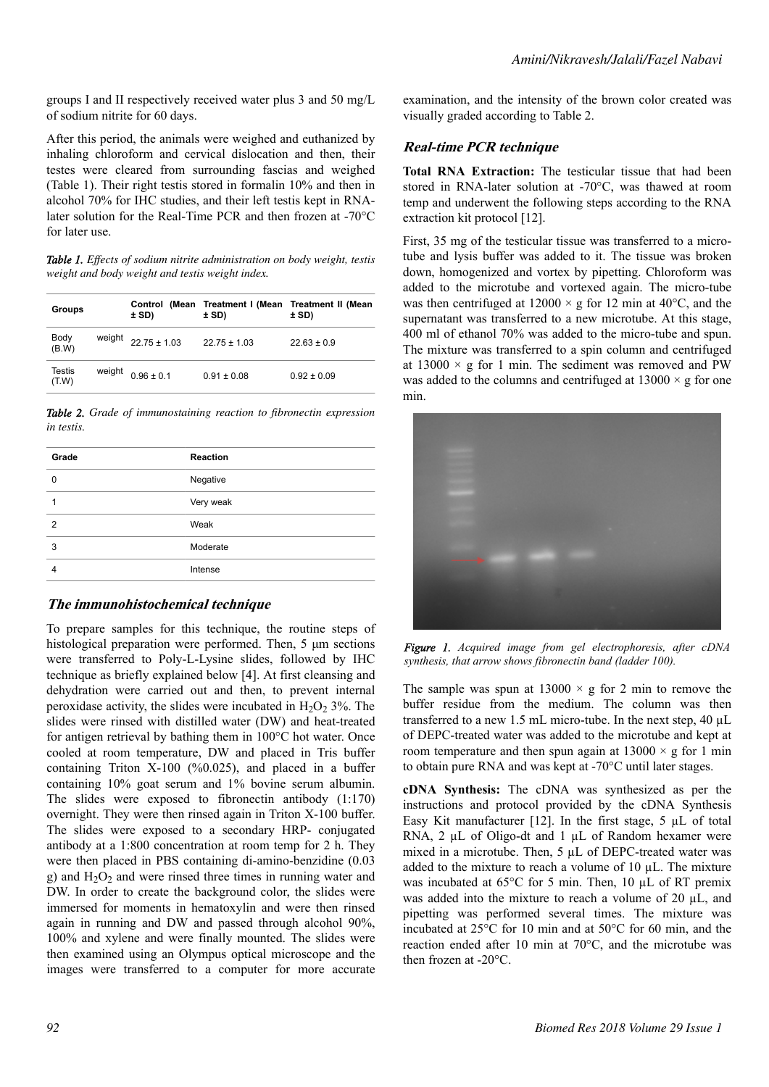groups I and II respectively received water plus 3 and 50 mg/L of sodium nitrite for 60 days.

After this period, the animals were weighed and euthanized by inhaling chloroform and cervical dislocation and then, their testes were cleared from surrounding fascias and weighed (Table 1). Their right testis stored in formalin 10% and then in alcohol 70% for IHC studies, and their left testis kept in RNAlater solution for the Real-Time PCR and then frozen at -70°C for later use.

*Table 1. Effects of sodium nitrite administration on body weight, testis weight and body weight and testis weight index.*

| <b>Groups</b>          |        | ± SD)            | ± SD)            | Control (Mean Treatment I (Mean Treatment II (Mean<br>± SD) |
|------------------------|--------|------------------|------------------|-------------------------------------------------------------|
| Body<br>(B.W)          | weight | $22.75 \pm 1.03$ | $22.75 \pm 1.03$ | $22.63 \pm 0.9$                                             |
| <b>Testis</b><br>(T.W) | weight | $0.96 \pm 0.1$   | $0.91 \pm 0.08$  | $0.92 \pm 0.09$                                             |

*Table 2. Grade of immunostaining reaction to fibronectin expression in testis.*

| Grade          | <b>Reaction</b> |  |
|----------------|-----------------|--|
| 0              | Negative        |  |
|                | Very weak       |  |
| $\mathfrak{p}$ | Weak            |  |
| 3              | Moderate        |  |
|                | Intense         |  |
|                |                 |  |

## **The immunohistochemical technique**

To prepare samples for this technique, the routine steps of histological preparation were performed. Then, 5 μm sections were transferred to Poly-L-Lysine slides, followed by IHC technique as briefly explained below [4]. At first cleansing and dehydration were carried out and then, to prevent internal peroxidase activity, the slides were incubated in  $H_2O_2$  3%. The slides were rinsed with distilled water (DW) and heat-treated for antigen retrieval by bathing them in 100°C hot water. Once cooled at room temperature, DW and placed in Tris buffer containing Triton  $X-100$  (%0.025), and placed in a buffer containing 10% goat serum and 1% bovine serum albumin. The slides were exposed to fibronectin antibody (1:170) overnight. They were then rinsed again in Triton X-100 buffer. The slides were exposed to a secondary HRP- conjugated antibody at a 1:800 concentration at room temp for 2 h. They were then placed in PBS containing di-amino-benzidine (0.03 g) and  $H_2O_2$  and were rinsed three times in running water and DW. In order to create the background color, the slides were immersed for moments in hematoxylin and were then rinsed again in running and DW and passed through alcohol 90%, 100% and xylene and were finally mounted. The slides were then examined using an Olympus optical microscope and the images were transferred to a computer for more accurate examination, and the intensity of the brown color created was visually graded according to Table 2.

# **Real-time PCR technique**

**Total RNA Extraction:** The testicular tissue that had been stored in RNA-later solution at -70°C, was thawed at room temp and underwent the following steps according to the RNA extraction kit protocol [12].

First, 35 mg of the testicular tissue was transferred to a microtube and lysis buffer was added to it. The tissue was broken down, homogenized and vortex by pipetting. Chloroform was added to the microtube and vortexed again. The micro-tube was then centrifuged at  $12000 \times g$  for 12 min at 40°C, and the supernatant was transferred to a new microtube. At this stage, 400 ml of ethanol 70% was added to the micro-tube and spun. The mixture was transferred to a spin column and centrifuged at  $13000 \times g$  for 1 min. The sediment was removed and PW was added to the columns and centrifuged at  $13000 \times g$  for one min.



*Figure 1. Acquired image from gel electrophoresis, after cDNA synthesis, that arrow shows fibronectin band (ladder 100).*

The sample was spun at  $13000 \times g$  for 2 min to remove the buffer residue from the medium. The column was then transferred to a new 1.5 mL micro-tube. In the next step, 40 µL of DEPC-treated water was added to the microtube and kept at room temperature and then spun again at  $13000 \times g$  for 1 min to obtain pure RNA and was kept at -70°C until later stages.

**cDNA Synthesis:** The cDNA was synthesized as per the instructions and protocol provided by the cDNA Synthesis Easy Kit manufacturer [12]. In the first stage, 5 µL of total RNA, 2 µL of Oligo-dt and 1 µL of Random hexamer were mixed in a microtube. Then, 5 µL of DEPC-treated water was added to the mixture to reach a volume of 10 µL. The mixture was incubated at 65°C for 5 min. Then, 10 µL of RT premix was added into the mixture to reach a volume of 20 µL, and pipetting was performed several times. The mixture was incubated at 25°C for 10 min and at 50°C for 60 min, and the reaction ended after 10 min at 70°C, and the microtube was then frozen at -20°C.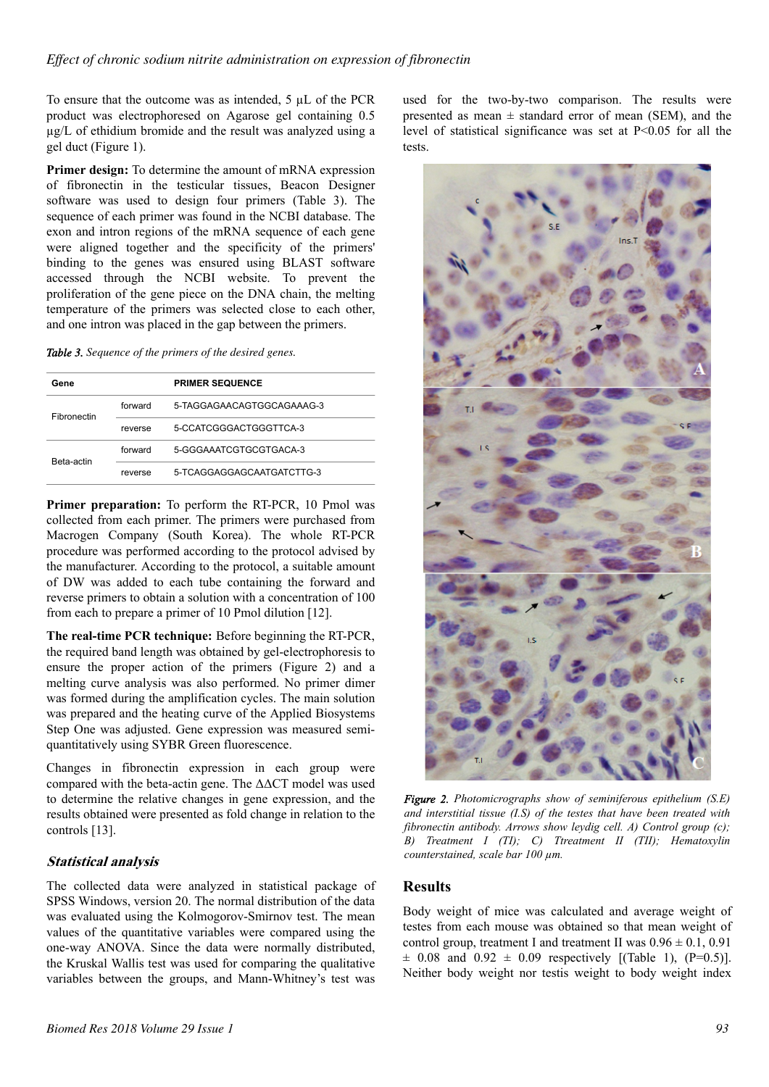To ensure that the outcome was as intended, 5 µL of the PCR product was electrophoresed on Agarose gel containing 0.5 µg/L of ethidium bromide and the result was analyzed using a gel duct (Figure 1).

**Primer design:** To determine the amount of mRNA expression of fibronectin in the testicular tissues, Beacon Designer software was used to design four primers (Table 3). The sequence of each primer was found in the NCBI database. The exon and intron regions of the mRNA sequence of each gene were aligned together and the specificity of the primers' binding to the genes was ensured using BLAST software accessed through the NCBI website. To prevent the proliferation of the gene piece on the DNA chain, the melting temperature of the primers was selected close to each other, and one intron was placed in the gap between the primers.

*Table 3. Sequence of the primers of the desired genes.*

| Gene               |         | <b>PRIMER SEQUENCE</b>    |
|--------------------|---------|---------------------------|
| <b>Fibronectin</b> | forward | 5-TAGGAGAACAGTGGCAGAAAG-3 |
|                    | reverse | 5-CCATCGGGACTGGGTTCA-3    |
| <b>Beta-actin</b>  | forward | 5-GGGAAATCGTGCGTGACA-3    |
|                    | reverse | 5-TCAGGAGGAGCAATGATCTTG-3 |

**Primer preparation:** To perform the RT-PCR, 10 Pmol was collected from each primer. The primers were purchased from Macrogen Company (South Korea). The whole RT-PCR procedure was performed according to the protocol advised by the manufacturer. According to the protocol, a suitable amount of DW was added to each tube containing the forward and reverse primers to obtain a solution with a concentration of 100 from each to prepare a primer of 10 Pmol dilution [12].

**The real-time PCR technique:** Before beginning the RT-PCR, the required band length was obtained by gel-electrophoresis to ensure the proper action of the primers (Figure 2) and a melting curve analysis was also performed. No primer dimer was formed during the amplification cycles. The main solution was prepared and the heating curve of the Applied Biosystems Step One was adjusted. Gene expression was measured semiquantitatively using SYBR Green fluorescence.

Changes in fibronectin expression in each group were compared with the beta-actin gene. The ΔΔCT model was used to determine the relative changes in gene expression, and the results obtained were presented as fold change in relation to the controls [13].

# **Statistical analysis**

The collected data were analyzed in statistical package of SPSS Windows, version 20. The normal distribution of the data was evaluated using the Kolmogorov-Smirnov test. The mean values of the quantitative variables were compared using the one-way ANOVA. Since the data were normally distributed, the Kruskal Wallis test was used for comparing the qualitative variables between the groups, and Mann-Whitney's test was

used for the two-by-two comparison. The results were presented as mean  $\pm$  standard error of mean (SEM), and the level of statistical significance was set at P<0.05 for all the tests.



*Figure 2. Photomicrographs show of seminiferous epithelium (S.E) and interstitial tissue (I.S) of the testes that have been treated with fibronectin antibody. Arrows show leydig cell. A) Control group (c); B) Treatment I (TI); C) Ttreatment II (TII); Hematoxylin counterstained, scale bar 100 µm.*

## **Results**

Body weight of mice was calculated and average weight of testes from each mouse was obtained so that mean weight of control group, treatment I and treatment II was  $0.96 \pm 0.1$ ,  $0.91$  $\pm$  0.08 and 0.92  $\pm$  0.09 respectively [(Table 1), (P=0.5)]. Neither body weight nor testis weight to body weight index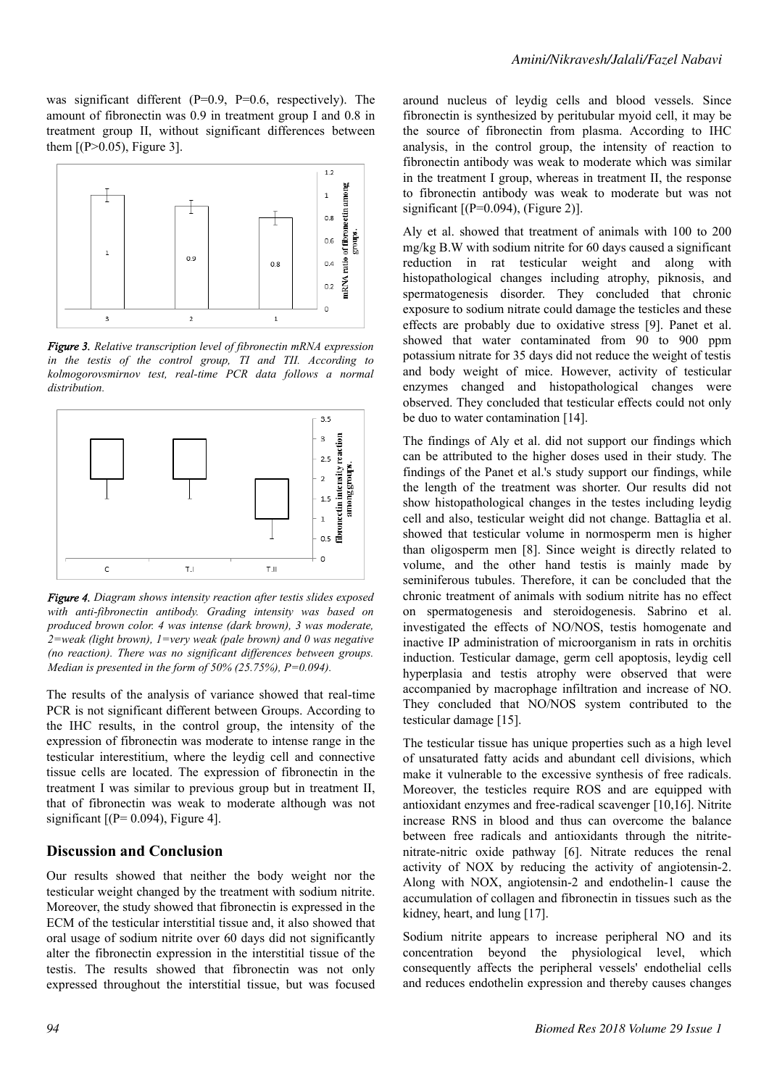was significant different (P=0.9, P=0.6, respectively). The amount of fibronectin was 0.9 in treatment group I and 0.8 in treatment group II, without significant differences between them  $[(P>0.05),$  Figure 3].



*Figure 3. Relative transcription level of fibronectin mRNA expression in the testis of the control group, TI and TII. According to kolmogorovsmirnov test, real-time PCR data follows a normal distribution.*



*Figure 4. Diagram shows intensity reaction after testis slides exposed with anti-fibronectin antibody. Grading intensity was based on produced brown color. 4 was intense (dark brown), 3 was moderate, 2=weak (light brown), 1=very weak (pale brown) and 0 was negative (no reaction). There was no significant differences between groups. Median is presented in the form of 50% (25.75%), P=0.094).*

The results of the analysis of variance showed that real-time PCR is not significant different between Groups. According to the IHC results, in the control group, the intensity of the expression of fibronectin was moderate to intense range in the testicular interestitium, where the leydig cell and connective tissue cells are located. The expression of fibronectin in the treatment I was similar to previous group but in treatment II, that of fibronectin was weak to moderate although was not significant  $[(P= 0.094)$ , Figure 4].

#### **Discussion and Conclusion**

Our results showed that neither the body weight nor the testicular weight changed by the treatment with sodium nitrite. Moreover, the study showed that fibronectin is expressed in the ECM of the testicular interstitial tissue and, it also showed that oral usage of sodium nitrite over 60 days did not significantly alter the fibronectin expression in the interstitial tissue of the testis. The results showed that fibronectin was not only expressed throughout the interstitial tissue, but was focused around nucleus of leydig cells and blood vessels. Since fibronectin is synthesized by peritubular myoid cell, it may be the source of fibronectin from plasma. According to IHC analysis, in the control group, the intensity of reaction to fibronectin antibody was weak to moderate which was similar in the treatment I group, whereas in treatment II, the response to fibronectin antibody was weak to moderate but was not significant  $[(P=0.094), (Figure 2)].$ 

Aly et al. showed that treatment of animals with 100 to 200 mg/kg B.W with sodium nitrite for 60 days caused a significant reduction in rat testicular weight and along with histopathological changes including atrophy, piknosis, and spermatogenesis disorder. They concluded that chronic exposure to sodium nitrate could damage the testicles and these effects are probably due to oxidative stress [9]. Panet et al. showed that water contaminated from 90 to 900 ppm potassium nitrate for 35 days did not reduce the weight of testis and body weight of mice. However, activity of testicular enzymes changed and histopathological changes were observed. They concluded that testicular effects could not only be duo to water contamination [14].

The findings of Aly et al. did not support our findings which can be attributed to the higher doses used in their study. The findings of the Panet et al.'s study support our findings, while the length of the treatment was shorter. Our results did not show histopathological changes in the testes including leydig cell and also, testicular weight did not change. Battaglia et al. showed that testicular volume in normosperm men is higher than oligosperm men [8]. Since weight is directly related to volume, and the other hand testis is mainly made by seminiferous tubules. Therefore, it can be concluded that the chronic treatment of animals with sodium nitrite has no effect on spermatogenesis and steroidogenesis. Sabrino et al. investigated the effects of NO/NOS, testis homogenate and inactive IP administration of microorganism in rats in orchitis induction. Testicular damage, germ cell apoptosis, leydig cell hyperplasia and testis atrophy were observed that were accompanied by macrophage infiltration and increase of NO. They concluded that NO/NOS system contributed to the testicular damage [15].

The testicular tissue has unique properties such as a high level of unsaturated fatty acids and abundant cell divisions, which make it vulnerable to the excessive synthesis of free radicals. Moreover, the testicles require ROS and are equipped with antioxidant enzymes and free-radical scavenger [10,16]. Nitrite increase RNS in blood and thus can overcome the balance between free radicals and antioxidants through the nitritenitrate-nitric oxide pathway [6]. Nitrate reduces the renal activity of NOX by reducing the activity of angiotensin-2. Along with NOX, angiotensin-2 and endothelin-1 cause the accumulation of collagen and fibronectin in tissues such as the kidney, heart, and lung [17].

Sodium nitrite appears to increase peripheral NO and its concentration beyond the physiological level, which consequently affects the peripheral vessels' endothelial cells and reduces endothelin expression and thereby causes changes